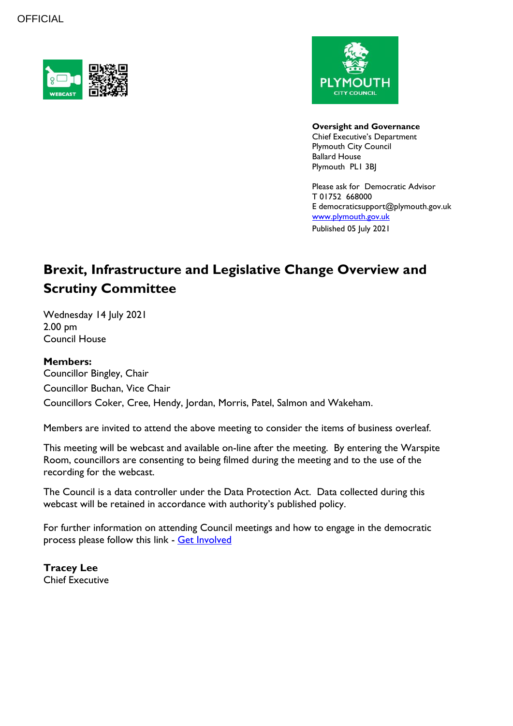



**Oversight and Governance** Chief Executive's Department Plymouth City Council Ballard House Plymouth PL1 3BJ

Please ask for Democratic Advisor T 01752 668000 E democraticsupport@plymouth.gov.uk [www.plymouth.gov.uk](https://www.plymouth.gov.uk/councillorscommitteesandmeetings) Published 05 July 2021

# **Brexit, Infrastructure and Legislative Change Overview and Scrutiny Committee**

Wednesday 14 July 2021 2.00 pm Council House

## **Members:**

Councillor Bingley, Chair Councillor Buchan, Vice Chair Councillors Coker, Cree, Hendy, Jordan, Morris, Patel, Salmon and Wakeham.

Members are invited to attend the above meeting to consider the items of business overleaf.

This meeting will be webcast and available on-line after the meeting. By entering the Warspite Room, councillors are consenting to being filmed during the meeting and to the use of the recording for the webcast.

The Council is a data controller under the Data Protection Act. Data collected during this webcast will be retained in accordance with authority's published policy.

For further information on attending Council meetings and how to engage in the democratic process please follow this link - [Get Involved](https://www.plymouth.gov.uk/councillorscommitteesandmeetings/getinvolved)

**Tracey Lee** Chief Executive